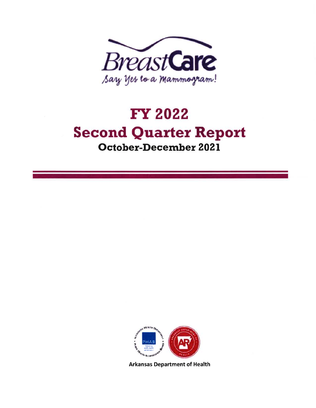

## Fr 2022 Second Quarter Report October-December 202I



Arkansas Department of Health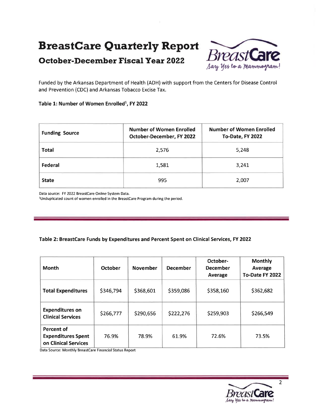### Breastcare Quarterly Report

# October-December Fiscal Year 2022  $B$ PeastCan



Funded by the Arkansas Department of Health (ADH) with support from the Centers for Disease Control and Prevention (CDC) and Arkansas Tobacco Excise Tax.

#### Table 1: Number of Women Enrolled<sup>1</sup>, FY 2022

| <b>Funding Source</b> | <b>Number of Women Enrolled</b><br>October-December, FY 2022 | <b>Number of Women Enrolled</b><br>To-Date, FY 2022 |  |
|-----------------------|--------------------------------------------------------------|-----------------------------------------------------|--|
| <b>Total</b>          | 2,576                                                        | 5,248                                               |  |
| Federal               | 1,581                                                        | 3,241                                               |  |
| <b>State</b>          | 995                                                          | 2,007                                               |  |

Data source: FY 2022 Breastcare Online System Data.

<sup>1</sup>Unduplicated count of women enrolled in the BreastCare Program during the period.

#### Table 2: BreastCare Funds by Expenditures and Percent Spent on Clinical Services, FY 2022

| <b>Month</b>                                                           | October   | <b>November</b> | <b>December</b> | October-<br><b>December</b><br>Average | <b>Monthly</b><br><b>Average</b><br>To-Date FY 2022 |
|------------------------------------------------------------------------|-----------|-----------------|-----------------|----------------------------------------|-----------------------------------------------------|
| <b>Total Expenditures</b>                                              | \$346,794 | \$368,601       | \$359,086       | \$358,160                              | \$362,682                                           |
| <b>Expenditures on</b><br><b>Clinical Services</b>                     | \$266,777 | \$290,656       | \$222,276       | \$259,903                              | \$266,549                                           |
| <b>Percent of</b><br><b>Expenditures Spent</b><br>on Clinical Services | 76.9%     | 78.9%           | 61.9%           | 72.6%                                  | 73.5%                                               |

Data Source: Monthly Breastcare Financial Status Report



2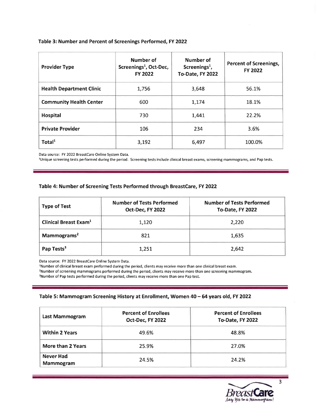#### Table 3: Number and Percent of Screenings Performed, FY 2022

| <b>Provider Type</b>            | Number of<br>Screenings <sup>1</sup> , Oct-Dec,<br><b>FY 2022</b> | Number of<br>Screenings <sup>1</sup> ,<br>To-Date, FY 2022 | <b>Percent of Screenings,</b><br><b>FY 2022</b> |
|---------------------------------|-------------------------------------------------------------------|------------------------------------------------------------|-------------------------------------------------|
| <b>Health Department Clinic</b> | 1,756                                                             | 3,648                                                      | 56.1%                                           |
| <b>Community Health Center</b>  | 600                                                               | 1.174                                                      | 18.1%                                           |
| <b>Hospital</b>                 | 730                                                               | 1,441                                                      | 22.2%                                           |
| <b>Private Provider</b>         | 106                                                               | 234                                                        | 3.6%                                            |
| Total <sup>1</sup>              | 3,192                                                             | 6,497                                                      | 100.0%                                          |

Data source: FY 2022 BreastCare Online System Data.

<sup>1</sup>Unique screening tests performed during the period. Screening tests include clinical breast exams, screening mammograms, and Pap tests.

#### Table 4: Number of Screening Tests Performed through BreastCare,FY 2O22

| <b>Number of Tests Performed</b><br><b>Type of Test</b><br>Oct-Dec, FY 2022 |       | <b>Number of Tests Performed</b><br>To-Date, FY 2022 |  |
|-----------------------------------------------------------------------------|-------|------------------------------------------------------|--|
| <b>Clinical Breast Exam<sup>1</sup></b>                                     | 1,120 | 2,220                                                |  |
| Mammograms <sup>2</sup><br>821                                              |       | 1.635                                                |  |
| Pap Tests <sup>3</sup>                                                      | 1,251 | 2,642                                                |  |

Data source: FY 2022 Breastcare Online System Data.

lNumber of clinical breast exam performed during the period, clients may receive more than one clinical breast exam. 2Number of screening mammograms performed during the period, clients may receive more than one screening mammogram. <sup>3</sup>Number of Pap tests performed during the period, clients may receive more than one Pap test.

#### Table 5: Mammogram Screening History at Enrollment, Women 40 - 64 years old, FY 2022

| Last Mammogram                       | <b>Percent of Enrollees</b><br>Oct-Dec, FY 2022 | <b>Percent of Enrollees</b><br>To-Date, FY 2022 |
|--------------------------------------|-------------------------------------------------|-------------------------------------------------|
| <b>Within 2 Years</b>                | 49.6%                                           | 48.8%                                           |
| More than 2 Years                    | 25.9%                                           | 27.0%                                           |
| <b>Never Had</b><br><b>Mammogram</b> | 24.5%                                           | 24.2%                                           |



3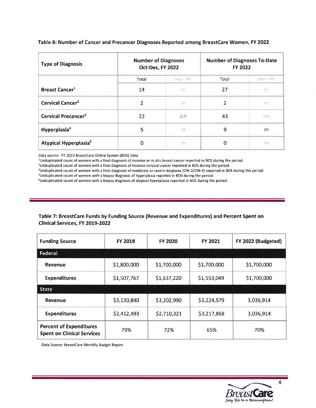| <b>Type of Diagnosis</b>          | <b>Number of Diagnoses</b><br>Oct-Dec, FY 2022 |            | <b>Number of Diagnoses To-Date</b><br><b>FY 2022</b> |            |
|-----------------------------------|------------------------------------------------|------------|------------------------------------------------------|------------|
|                                   | Total                                          | (Age < 40) | Total                                                | (Age < 40) |
| <b>Breast Cancer<sup>1</sup></b>  | 14                                             | (1)        | 27                                                   | (2)        |
| Cervical Cancer <sup>2</sup>      | $\mathfrak{p}$                                 | (1)        | 2                                                    | (1)        |
| Cervical Precancer <sup>3</sup>   | 22                                             | (17)       | 43                                                   | (35)       |
| Hyperplasia <sup>4</sup>          | 5                                              | (0)        | 9                                                    | (0)        |
| Atypical Hyperplasia <sup>5</sup> | 0                                              | (0)        | 0                                                    | (0)        |

#### Table 6: Number of Cancer and Precancer Diagnoses Reported among BreastCare Women, FY 2022

Data source: FY 2022 BreastCare Online System (BOS) Data

<sup>1</sup>Unduplicated count of women with a final diagnosis of invasive or in situ breast cancer reported in BOS during the period.

<sup>2</sup>Unduplicated count of women with a final diagnosis of invasive cervical cancer reported in BOS during the period.

<sup>3</sup>Unduplicated count of women with a final diagnosis of moderate or severe dysplasia (CIN-2/CIN-3) reported in BOS during this period.

4Unduplicated count of women with a biopsy diagnosis of hyperplasia reported in BOS during the period.

sUnduplicated count of women with a biopsy diagnosis of atypical hyperplasia reported in BOS during the period.

#### Table 7: BreastCare Funds by Funding Source (Revenue and Expenditures) and Percent Spent on Clinical Services, FY 2019-2022

| <b>Funding Source</b>                                               | <b>FY 2019</b> | <b>FY 2020</b> | <b>FY 2021</b> | FY 2022 (Budgeted) |
|---------------------------------------------------------------------|----------------|----------------|----------------|--------------------|
| Federal                                                             |                |                |                |                    |
| <b>Revenue</b>                                                      | \$1,800,000    | \$1,700,000    | \$1,700,000    | \$1,700,000        |
| <b>Expenditures</b>                                                 | \$1,507,767    | \$1,637,220    | \$1,553,049    | \$1,700,000        |
| <b>State</b>                                                        |                |                |                |                    |
| Revenue                                                             | \$3,130,840    | \$3,202,990    | \$3,224,579    | 3,036,914          |
| <b>Expenditures</b>                                                 | \$2,412,493    | \$2,710,321    | \$3,217,868    | 3,036,914          |
| <b>Percent of Expenditures</b><br><b>Spent on Clinical Services</b> | 79%            | 72%            | 65%            | 70%                |

Data Source: Breastcare Monthly Budget Report

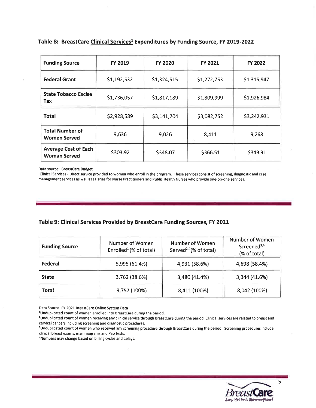| <b>Funding Source</b>                              | <b>FY 2019</b> | <b>FY 2020</b> | <b>FY 2021</b> | <b>FY 2022</b> |
|----------------------------------------------------|----------------|----------------|----------------|----------------|
| <b>Federal Grant</b>                               | \$1,192,532    | \$1,324,515    | \$1,272,753    | \$1,315,947    |
| <b>State Tobacco Excise</b><br>Tax                 | \$1,736,057    | \$1,817,189    | \$1,809,999    | \$1,926,984    |
| <b>Total</b>                                       | \$2,928,589    | \$3,141,704    | \$3,082,752    | \$3,242,931    |
| <b>Total Number of</b><br><b>Women Served</b>      | 9,636          | 9,026          | 8,411          | 9,268          |
| <b>Average Cost of Each</b><br><b>Woman Served</b> | \$303.92       | \$348.07       | \$366.51       | \$349.91       |

#### Table 8: BreastCare Clinical Services<sup>1</sup> Expenditures by Funding Source, FY 2019-2022

Data source: Breastcare Budget

lClinical Services - Direct service provided to women who enroll in the program. These services consist of screening, diagnostic and case management services as well as salaries for Nurse Practitioners and Public Health Nurses who provide one-on-one services.

#### Table 9: Clinical Services Provided by BreastCare Funding Sources, FY 2O2I

| <b>Funding Source</b> | Number of Women<br>Enrolled <sup>1</sup> (% of total) | <b>Number of Women</b><br>Served <sup>2,4</sup> $%$ of total) | Number of Women<br>Screened <sup>3,4</sup><br>(% of total) |
|-----------------------|-------------------------------------------------------|---------------------------------------------------------------|------------------------------------------------------------|
| Federal               | 5,995 (61.4%)                                         | 4,931 (58.6%)                                                 | 4,698 (58.4%)                                              |
| <b>State</b>          | 3,762 (38.6%)                                         | 3,480 (41.4%)                                                 | 3,344 (41.6%)                                              |
| <b>Total</b>          | 9,757 (100%)                                          | 8,411 (100%)                                                  | 8,042 (100%)                                               |

Data Source: FY 2021 BreastCare Online System Data

lUnduplicated count of women enrolled into Breastcare during the period.

<sup>4</sup>Numbers may change based on billing cycles and delays.



<sup>&</sup>lt;sup>2</sup>Unduplicated count of women receiving any clinical service through BreastCare during the period. Clinical services are related to breast and cervical cancers including screening and diagnostic procedures.

<sup>&</sup>lt;sup>3</sup>Unduplicated count of women who received any screening procedure through BreastCare during the period. Screening procedures include clinical breast exams, mammograms and Pap tests.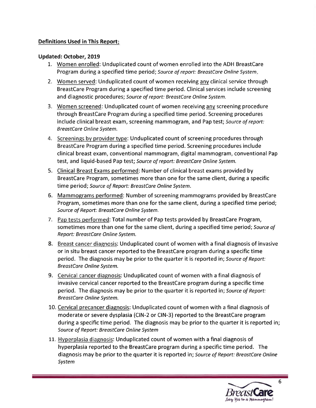#### Definitions Used in This Report

#### Updated: October,2019

- 1. Women enrolled: Unduplicated count of women enrolled into the ADH BreastCare Program during a specified time period; Source of report: BreastCare Online System.
- 2. Women served: Unduplicated count of women receiving anv clinical service through BreastCare Program during a specified time period. Clinical services include screening and diagnostic procedures; Source of report: BreastCare Online System.
- 3. Women screened: Unduplicated count of women receiving anv screening procedure through BreastCare Program during a specified time period. Screening procedures include clinical breast exam, screening mammogram, and Pap test; Source of report: BreastCare Online System.
- 4. Screenings bv provider tvpe: Unduplicated count of screening procedures through BreastCare Program during a specified time period. Screening procedures include clinical breast exam, conventional mammogram, digital mammogram, conventional Pap test, and liquid-based Pap test; Source of report: BreastCare Online System.
- 5. Clinical Breast Exams performed: Number of clinical breast exams provided by BreastCare Program, sometimes more than one for the same client, during a specific time period; Source of Report: BreastCare Online System.
- 6. Mammograms performed: Number of screening mammograms provided by BreastCare Program, sometimes more than one for the same client, during a specified time period; Source of Report: BreastCare Online System.
- 7. Pap tests performed: Total number of Pap tests provided by BreastCare Program, sometimes more than one for the same client, during a specified time period; Source of Report: BreostCare Online System.
- 8. Breast cancer diagnosis: Unduplicated count of women with a final diagnosis of invasive or in situ breast cancer reported to the BreastCare program during a specific time period. The diagnosis may be prior to the quarter it is reported in; Source of Report: BreastCare Online System.
- 9. Cervical cancer diagnosis: Unduplicated count of women with a final diagnosis of invasive cervical cancer reported to the BreastCare program during a specific time period. The diagnosis may be prior to the quarter it is reported in; Source of Report: BreastCare Online System.
- 10. Cervical precancer diagnosis: Unduplicated count of women with a final diagnosis of moderate or severe dysplasia (ClN-2 or CIN-3) reported to the BreastCare program during a specific time period. The diagnosis may be prior to the quarter it is reported in; Source of Report: BreastCare Online System
- 11. Hvperplasia diagnosis: Unduplicated count of women with a final diagnosis of hyperplasia reported to the BreastCare program during a specific time period. The diagnosis may be prior to the quarter it is reported in; Source of Report: BreastCare Online System